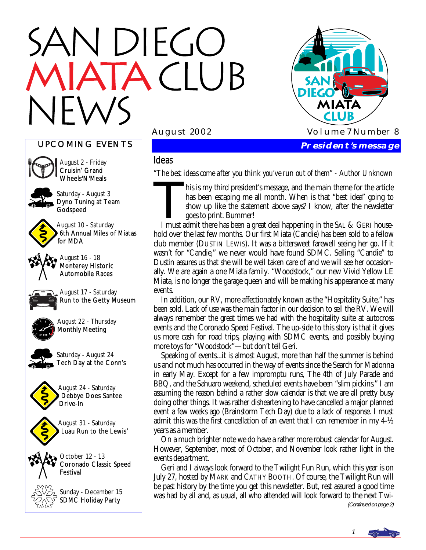# N DIEGO **TACLUB**



#### UPCOMING EVENTS



August 2 - Friday Cruisin' Grand Wheels'N'Meals Saturday - August 3

Dyno Tuning at Team **Godspeed** 



August 10 - Saturday 6th Annual Miles of Miatas for MDA





August 17 - Saturday Run to the Getty Museum



August 22 - Thursday Monthly Meeting



Saturday - August 24 Tech Day at the Conn's





August 31 - Saturday Luau Run to the Lewis'

 $\sim$  October 12 - 13 Coronado Classic Speed Festival



Sunday - December 15 SDMC Holiday Party

Ideas

*"The best ideas come after you think you've run out of them" - Author Unknown*<br>his is my third president's message, and the main theme for the article<br>has been escaping me all month. When is that "best idea" going to<br>show has been escaping me all month. When is that "best idea" going to show up like the statement above says? I know, after the newsletter goes to print. Bummer!

 I must admit there has been a great deal happening in the SAL & GERI household over the last few months. Our first Miata (Candie) has been sold to a fellow club member (DUSTIN LEWIS). It was a bittersweet farewell seeing her go. If it wasn't for "Candie," we never would have found SDMC. Selling "Candie" to Dustin assures us that she will be well taken care of and we will see her occasionally. We are again a one Miata family. "Woodstock," our new Vivid Yellow LE Miata, is no longer the garage queen and will be making his appearance at many events.

 In addition, our RV, more affectionately known as the "Hospitality Suite," has been sold. Lack of use was the main factor in our decision to sell the RV. We will always remember the great times we had with the hospitality suite at autocross events and the Coronado Speed Festival. The up-side to this story is that it gives us more cash for road trips, playing with SDMC events, and possibly buying more toys for "Woodstock"—but don't tell Geri.

 Speaking of events...it is almost August, more than half the summer is behind us and not much has occurred in the way of events since the Search for Madonna in early May. Except for a few impromptu runs, The 4th of July Parade and BBQ, and the Sahuaro weekend, scheduled events have been "slim pickins." I am assuming the reason behind a rather slow calendar is that we are all pretty busy doing other things. It was rather disheartening to have cancelled a major planned event a few weeks ago (Brainstorm Tech Day) due to a lack of response. I must admit this was the first cancellation of an event that I can remember in my 4-½ years as a member.

 On a much brighter note we do have a rather more robust calendar for August. However, September, most of October, and November look rather light in the events department.

 Geri and I always look forward to the Twilight Fun Run, which this year is on July 27, hosted by MARK and CATHY BOOTH. Of course, the Twilight Run will be past history by the time you get this newsletter. But, rest assured a good time was had by all and, as usual, all who attended will look forward to the next Twi- (Continued on page 2)

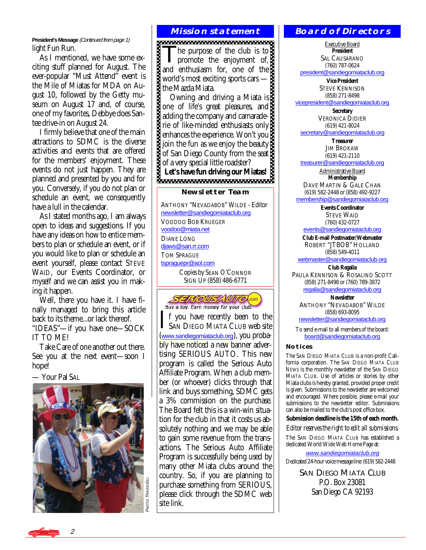**President's Message** (Continued from page 1) light Fun Run.

 As I mentioned, we have some exciting stuff planned for August. The ever-popular "Must Attend" event is the Mile of Miatas for MDA on August 10, followed by the Getty museum on August 17 and, of course, one of my favorites, Debbye does Santee drive-in on August 24.

 I firmly believe that one of the main attractions to SDMC is the diverse activities and events that are offered for the members' enjoyment. These events do not just happen. They are planned and presented by you and for you. Conversely, if you do not plan or schedule an event, we consequently have a lull in the calendar.

 As I stated months ago, I am always open to ideas and suggestions. If you have any ideas on how to entice members to plan or schedule an event, or if you would like to plan or schedule an event yourself, please contact STEVE WAID, our Events Coordinator, or myself and we can assist you in making it happen.

 Well, there you have it. I have finally managed to bring this article back to its theme...or lack thereof. "IDEAS"—if you have one—SOCK IT TO ME!

 Take Care of one another out there. See you at the next event—soon I hope!

— Your Pal SAL



#### **Mission statement**

The purpose of the club is to<br>promote the enjoyment of, and enthusiasm for, one of the world's most exciting sports cars the Mazda Miata.

 Owning and driving a Miata is one of life's great pleasures, and adding the company and camaraderie of like-minded enthusiasts only enhances the experience. Won't you join the fun as we enjoy the beauty of San Diego County from the seat of a very special little roadster?<br>Let's have fun driving our Miatas!

**Let's have fun driving our Miatas!** 

#### **Newsletter Team**

ANTHONY "NEVADABOB" WILDE - Editor [newsletter@sandiegomiataclub.org](mailto:newsletter@sandiegomiataclub.org) VOODOO BOB KRUEGER [voodoo@miata.net](mailto:voodoo@miata.net) DIANE LONG diaws@san.rr.com TOM SPRAGUE [tspraguepr@aol.com](mailto:tsprague@aol.com) Copies by SEAN O'CONNOR SIGN UP (858) 486-6771



If you have recently been to the<br>SAN DIEGO MIATA CLUB web site ([www.sandiegomiataclub.org](http://www.sandiegomiataclub.org)), you probably have noticed a new banner advertising SERIOUS AUTO. This new program is called the Serious Auto Affiliate Program. When a club member (or whoever) clicks through that link and buys something, SDMC gets a 3% commission on the purchase. The Board felt this is a win-win situation for the club in that it costs us absolutely nothing and we may be able to gain some revenue from the transactions. The Serious Auto Affiliate Program is successfully being used by many other Miata clubs around the country. So, if you are planning to purchase something from SERIOUS, please click through the SDMC web site link.

#### **Board of Directors**

Executive Board **President**  SAL CAUSARANO (760) 787-0624

[president@sandiegomiataclub.org](mailto:president@sandiegomiataclub.org)

**Vice President**  STEVE KENNISON (858) 271-8498 [vicepresident@sandiegomiataclub.org](mailto:vicepresident@sandiegomiataclub.org)

> **Secretary**  VERONICA DIDIER (619) 421-8024

[secretary@sandiegomiataclub.org](mailto:secretary@sandiegomiataclub.org)

**Treasurer**  JIM BROKAW (619) 421-2110

[treasurer@sandiegomiataclub.org](mailto:treasurer@sandiegomiataclub.org)

Administrative Board **Membership** 

DAVE MARTIN & GALE CHAN (619) 582-2448 or (858) 492-9227

[membership@sandiegomiataclub.org](mailto:membership@sandiegomiataclub.org)

**Events Coordinator**  STEVE WAID (760) 432-0727

[events@sandiegomiataclub.org](mailto:events@sandiegomiataclub.org)

**Club E-mail Postmaster/Webmaster**  ROBERT "JTBOB" HOLLAND (858) 549-4011

[webmaster@sandiegomiataclub.org](mailto:webmaster@sandiegomiataclub.org) **Club Regalia** 

PAULA KENNISON & ROSALIND SCOTT (858) 271-8498 or (760) 789-3872 [regalia@sandiegomiataclub.org](mailto:regalia@sandiegomiataclub.org)

**Newsletter**  ANTHONY "NEVADABOB" WILDE (858) 693-8095

[newsletter@sandiegomiataclub.org](mailto:newsletter@sandiegomiataclub.org)

To send e-mail to all members of the board: [board@sandiegomiataclub.org](mailto:board@sandiegomiataclub.org)

#### **Notices**

The SAN DIEGO MIATA CLUB is a non-profit California corporation. The *SAN DIEGO MIATA CLUB NEWS* is the monthly newsletter of the SAN DIEGO MIATA CLUB. Use of articles or stories by other Miata clubs is hereby granted, provided proper credit is given. Submissions to the newsletter are welcomed and encouraged. Where possible, please e-mail your submissions to the newsletter editor. Submissions can also be mailed to the club's post office box.

**Submission deadline is the 15th of each month.** 

*Editor reserves the right to edit all submissions.*

The SAN DIEGO MIATA CLUB has established a dedicated World Wide Web Home Page at:

[www.sandiegomiataclub.org](http://www.sandiegomiataclub.org) Dedicated 24-hour voice message line: (619) 582-2448

> **SAN DIEGO MIATA CLUB** P.O. Box 23081 San Diego CA 92193

2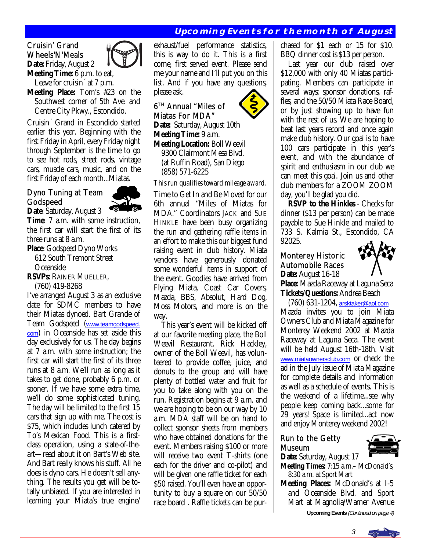#### **Upcoming Events for the month of August**

#### Cruisin' Grand Wheels'N'Meals **Date:** Friday, August 2



**Meeting Time:** 6 p.m. to eat,

Leave for cruisin<sup> $\alpha$ </sup> at 7 p.m. **Meeting Place:** Tom's #23 on the Southwest corner of 5th Ave. and Centre City Pkwy., Escondido.

Cruisin´ Grand in Escondido started earlier this year. Beginning with the first Friday in April, every Friday night through September is the time to go to see hot rods, street rods, vintage cars, muscle cars, music, and on the first Friday of each month...Miatas.

#### Dyno Tuning at Team Godspeed



**Date**: Saturday, August 3 **Time**: 7 a.m. with some instruction, the first car will start the first of its three runs at 8 a.m.

**Place**: Godspeed Dyno Works

 612 South Tremont Street **Oceanside** 

**RSVPs:** RAINER MUELLER,

(760) 419-8268

I've arranged August 3 as an exclusive date for SDMC members to have their Miatas dynoed. Bart Grande of Team Godspeed ([www.teamgodspeed.](http://www.teamgodspeed.com) [com](http://www.teamgodspeed.com)) in Oceanside has set aside this day exclusively for us. The day begins at 7 a.m. with some instruction; the first car will start the first of its three runs at 8 a.m. We'll run as long as it takes to get done, probably 6 p.m. or sooner. If we have some extra time, we'll do some sophisticated tuning. The day will be limited to the first 15 cars that sign up with me. The cost is \$75, which includes lunch catered by To's Mexican Food. This is a firstclass operation, using a state-of-theart—read about it on Bart's Web site. And Bart really knows his stuff. All he does is dyno cars. He doesn't sell anything. The results you get will be totally unbiased. If you are interested in learning your Miata's true engine/

exhaust/fuel performance statistics, this is way to do it. This is a first come, first served event. Please send me your name and I'll put you on this list. And if you have any questions, please ask.  $\mathbf{r}$ 

6TH Annual "Miles of Miatas For MDA"

**Date:** Saturday, August 10th **Meeting Time:** 9 a.m.

**Meeting Location:** Boll Weevil 9300 Clairmont Mesa Blvd. (at Ruffin Road), San Diego (858) 571-6225

*This run qualifies toward mileage award.* 

Time to Get In and Be Moved for our 6th annual "Miles of Miatas for MDA." Coordinators JACK and SUE HINKLE have been busy organizing the run and gathering raffle items in an effort to make this our biggest fund raising event in club history. Miata vendors have generously donated some wonderful items in support of the event. Goodies have arrived from Flying Miata, Coast Car Covers, Mazda, BBS, Absolut, Hard Dog, Moss Motors, and more is on the way.

 This year's event will be kicked off at our favorite meeting place, the Boll Weevil Restaurant. Rick Hackley, owner of the Boll Weevil, has volunteered to provide coffee, juice, and donuts to the group and will have plenty of bottled water and fruit for you to take along with you on the run. Registration begins at 9 a.m. and we are hoping to be on our way by 10 a.m. MDA staff will be on hand to collect sponsor sheets from members who have obtained donations for the event. Members raising \$100 or more will receive two event T-shirts (one each for the driver and co-pilot) and will be given one raffle ticket for each \$50 raised. You'll even have an opportunity to buy a square on our 50/50 race board . Raffle tickets can be pur-

chased for \$1 each or 15 for \$10. BBQ dinner cost is \$13 per person.

 Last year our club raised over \$12,000 with only 40 Miatas participating. Members can participate in several ways; sponsor donations, raffles, and the 50/50 Miata Race Board, or by just showing up to have fun with the rest of us. We are hoping to beat last years record and once again make club history. Our goal is to have 100 cars participate in this year's event, and with the abundance of spirit and enthusiasm in our club we can meet this goal. Join us and other club members for a ZOOM ZOOM day, you'll be glad you did.

 **RSVP to the Hinkles** - Checks for dinner (\$13 per person) can be made payable to Sue Hinkle and mailed to 733 S. Kalmia St., Escondido, CA 92025.

#### Monterey Historic Automobile Races **Date:** August 16-18



**Place:** Mazda Raceway at Laguna Seca **Tickets/Questions:** Andrea Beach

 (760) 631-1204, [arsktaker@aol.com](mailto:arsktaker@aol.com) Mazda invites you to join Miata Owners Club and Miata Magazine for Monterey Weekend 2002 at Mazda Raceway at Laguna Seca. The event will be held August 16th-18th. Visit [www.miataownersclub.com](http://www.miataownersclub.com) or check the ad in the July issue of Miata Magazine for complete details and information as well as a schedule of events. This is the weekend of a lifetime...see why people keep coming back...some for 29 years! Space is limited...act now and enjoy Monterey weekend 2002!

#### Run to the Getty Museum



**Date:** Saturday, August 17 **Meeting Times:** 7:15 a.m.– McDonald's, 8:30 a.m. at Sport Mart

**Meeting Places:** McDonald's at I-5 and Oceanside Blvd. and Sport Mart at Magnolia/Warner Avenue

**Upcoming Events** (Continued on page 4)

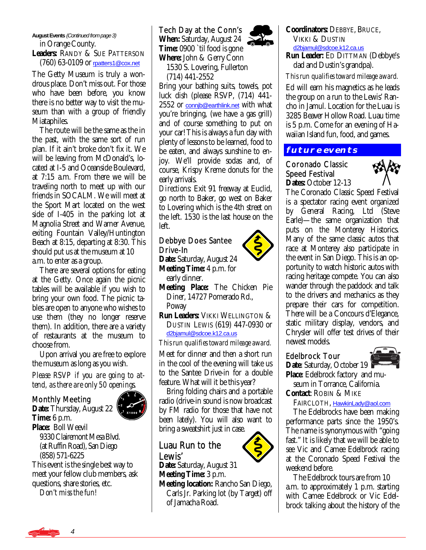#### **August Events** (Continued from page 3) in Orange County.

**Leaders:** RANDY & SUE PATTERSON (760) 63-0109 or [rpatters1@cox.net](mailto:rpatters1@cox.net)

The Getty Museum is truly a wondrous place. Don't miss out. For those who have been before, you know there is no better way to visit the museum than with a group of friendly Miataphiles.

 The route will be the same as the in the past, with the same sort of run plan. If it ain't broke don't fix it. We will be leaving from McDonald's, located at I-5 and Oceanside Boulevard, at 7:15 a.m. From there we will be traveling north to meet up with our friends in SOCALM. We will meet at the Sport Mart located on the west side of I-405 in the parking lot at Magnolia Street and Warner Avenue, exiting Fountain Valley/Huntington Beach at 8:15, departing at 8:30. This should put us at the museum at 10 a.m. to enter as a group.

 There are several options for eating at the Getty. Once again the picnic tables will be available if you wish to bring your own food. The picnic tables are open to anyone who wishes to use them (they no longer reserve them). In addition, there are a variety of restaurants at the museum to choose from.

 Upon arrival you are free to explore the museum as long as you wish.

*Please RSVP if you are going to attend, as there are only 50 openings.* 

#### Monthly Meeting

**Date:** Thursday, August 22 **Time:** 6 p.m. **Place:** Boll Weevil 9330 Clairemont Mesa Blvd. (at Ruffin Road), San Diego (858) 571-6225

This event is the single best way to meet your fellow club members, ask questions, share stories, etc.

*Don't miss the fun!* 

Tech Day at the Conn's **When:** Saturday, August 24 **Time:** 0900 `til food is gone

**Where:** John & Gerry Conn 1530 S. Lovering, Fullerton

(714) 441-2552

Bring your bathing suits, towels, pot luck dish (please RSVP, (714) 441- 2552 or connib@earthlink.net with what you're bringing, (we have a gas grill) and of course something to put on your car! This is always a fun day with plenty of lessons to be learned, food to be eaten, and always sunshine to enjoy. We'll provide sodas and, of course, Krispy Kreme donuts for the early arrivals.

*Directions:* Exit 91 freeway at Euclid, go north to Baker, go west on Baker to Lovering which is the 4th street on the left. 1530 is the last house on the left.

#### Debbye Does Santee Drive-In

**Date:** Saturday, August 24 **Meeting Time:** 4 p.m. for early dinner.

**Meeting Place:** The Chicken Pie Diner, 14727 Pomerado Rd., Poway

**Run Leaders:** VIKKI WELLINGTON & DUSTIN LEWIS (619) 447-0930 or [d2bjamul@sdcoe.k12.ca.us](mailto:d2bjamul@sdcoe.k12.ca.us)

*This run qualifies toward mileage award.*

Meet for dinner and then a short run in the cool of the evening will take us to the Santee Drive-in for a double feature. What will it be this year?

 Bring folding chairs and a portable radio (drive-in sound is now broadcast by FM radio for those that have not been lately). You will also want to bring a sweatshirt just in case.

# Luau Run to the

Lewis' **Date:** Saturday, August 31 **Meeting Time:** 3 p.m.

**Meeting location:** Rancho San Diego, Carls Jr. Parking lot (by Target) off of Jamacha Road.



*This run qualifies toward mileage award.*

Ed will earn his magnetics as he leads the group on a run to the Lewis' Rancho in Jamul. Location for the Luau is 3285 Beaver Hollow Road. Luau time is 5 p.m. Come for an evening of Hawaiian Island fun, food, and games.

#### **future events**

Coronado Classic Speed Festival Dates: October 12-13



The Coronado Classic Speed Festival is a spectator racing event organized by General Racing, Ltd (Steve Earle)—the same organization that puts on the Monterey Historics. Many of the same classic autos that race at Monterey also participate in the event in San Diego. This is an opportunity to watch historic autos with racing heritage compete. You can also wander through the paddock and talk to the drivers and mechanics as they prepare their cars for competition. There will be a Concours d'Elegance, static military display, vendors, and Chrysler will offer test drives of their newest models.

#### Edelbrock Tour

**Date**: Saturday, October 19 **Place**: Edelbrock factory and mu-



seum in Torrance, California.

**Contact**: ROBIN & MIKE

FAIRCLOTH, [HawkinLady@aol.com](mailto:HawkinLady@aol.com)

 The Edelbrocks have been making performance parts since the 1950's. The name is synonymous with "going fast." It is likely that we will be able to see Vic and Camee Edelbrock racing at the Coronado Speed Festival the weekend before.

 The Edelbrock tours are from 10 a.m. to approximately 1 p.m. starting with Camee Edelbrock or Vic Edelbrock talking about the history of the

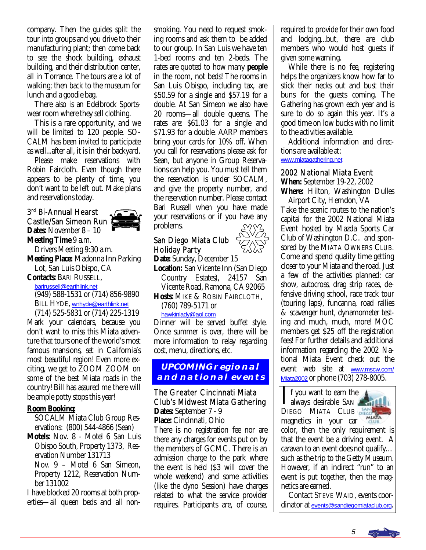company. Then the guides split the tour into groups and you drive to their manufacturing plant; then come back to see the shock building, exhaust building, and their distribution center, all in Torrance. The tours are a lot of walking; then back to the museum for lunch and a goodie bag.

 There also is an Edelbrock Sportswear room where they sell clothing.

 This is a rare opportunity, and we will be limited to 120 people. SO-CALM has been invited to participate as well...after all, it is in their backyard.

 Please make reservations with Robin Faircloth. Even though there appears to be plenty of time, you don't want to be left out. Make plans and reservations today.

### 3rd Bi-Annual Hearst Castle/San Simeon Run



**Dates:** November 8 – 10 **Meeting Time** 9 a.m. Drivers Meeting 9:30 a.m. **Meeting Place:** Madonna Inn Parking Lot, San Luis Obispo, CA **Contacts:** BARI RUSSELL,

[barirussell@earthlink.net](mailto:barirussell@earthlink.net) (949) 588-1531 or (714) 856-9890 BILL HYDE, [wnhyde@earthlink.net](mailto:wnhyde@earthlink.net) 

 (714) 525-5831 or (714) 225-1319 Mark your calendars, because you don't want to miss this Miata adventure that tours one of the world's most famous mansions, set in California's most beautiful region! Even more exciting, we get to ZOOM ZOOM on some of the best Miata roads in the country! Bill has assured me there will be ample potty stops this year!

#### **Room Booking:**

 SOCALM Miata Club Group Res ervations: (800) 544-4866 (Sean)

**Motels:** Nov. 8 - Motel 6 San Luis Obispo South, Property 1373, Res ervation Number 131713

 Nov. 9 – Motel 6 San Simeon, Property 1212, Reservation Num ber 131002

I have blocked 20 rooms at both properties—all queen beds and all nonsmoking. You need to request smoking rooms and ask them to be added to our group. In San Luis we have ten 1-bed rooms and ten 2-beds. The rates are quoted to how many **people** in the room, not beds! The rooms in San Luis Obispo, including tax, are \$50.59 for a single and \$57.19 for a double. At San Simeon we also have 20 rooms—all double queens. The rates are: \$61.03 for a single and \$71.93 for a double. AARP members bring your cards for 10% off. When you call for reservations please ask for Sean, but anyone in Group Reservations can help you. You *must* tell them the reservation is under SOCALM, and give the property number, and the reservation number. Please contact Bari Russell when you have made your reservations or if you have any problems.

#### San Diego Miata Club Holiday Party

**Date:** Sunday, December 15 **Location:** San Vicente Inn (San Diego Country Estates), 24157 San Vicente Road, Ramona, CA 92065

**Hosts:** MIKE & ROBIN FAIRCLOTH, (760) 789-5171 or

[hawkinlady@aol.com](mailto:HawkinLady@aol.com)

Dinner will be served buffet style. Once summer is over, there will be more information to relay regarding cost, menu, directions, etc.

#### **UPCOMING regional and national events**

#### The Greater Cincinnati Miata Club's Midwest Miata Gathering **Dates:** September 7 - 9

**Place:** Cincinnati, Ohio

There is no registration fee nor are there any charges for events put on by the members of GCMC. There is an admission charge to the park where the event is held (\$3 will cover the whole weekend) and some activities (like the dyno Session) have charges related to what the service provider requires. Participants are, of course,

required to provide for their own food and lodging...but, there are club members who would host guests if given some warning.

 While there is no fee, registering helps the organizers know how far to stick their necks out and bust their buns for the guests coming. The Gathering has grown each year and is sure to do so again this year. It's a good time on low bucks with no limit to the activities available.

 Additional information and directions are available at:

[www.miatagathering.net](http://www.miatagathering.net)

#### 2002 National Miata Event

**When:** September 19-22, 2002

**Where:** Hilton, Washington Dulles Airport City, Herndon, VA

Take the scenic routes to the nation's capital for the 2002 National Miata Event hosted by Mazda Sports Car Club of Washington D.C. and sponsored by the MIATA OWNERS CLUB. Come and spend quality time getting closer to your Miata and the road. Just a few of the activities planned: car show, autocross, drag strip races, defensive driving school, race track tour (touring laps), funcanna, road rallies & scavenger hunt, dynamometer testing and much, much, more! MOC members get \$25 off the registration fees! For further details and additional information regarding the 2002 National Miata Event check out the event web site at [www.mscw.com/](http://www.mscw.com/Miata2002) [Miata2002](http://www.mscw.com/Miata2002) or phone (703) 278-8005.

If you want to earn the<br>always desirable SAN DIEGO MIATA CLUB DIEGO magnetics in your car



color, then the only requirement is that the event be a driving event. A caravan to an event does not qualify… such as the trip to the Getty Museum. However, if an indirect "run" to an event is put together, then the magnetics are earned.

 Contact STEVE WAID, events coordinator at [events@sandiegomiataclub.org](mailto:events@sandiegomiataclub.org).

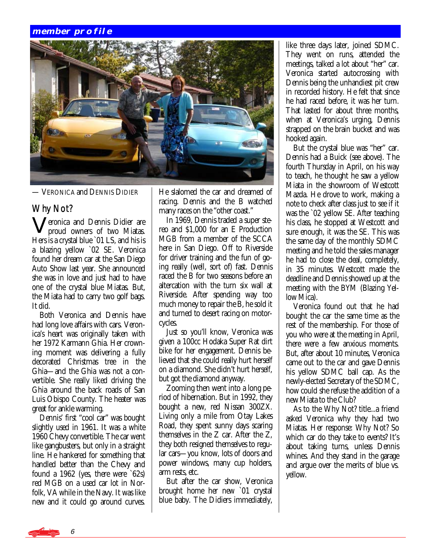#### **member profile**



— VERONICA and DENNIS DIDIER

#### Why Not?

Veronica and Dennis Didier are proud owners of two Miatas. Hers is a crystal blue `01 LS, and his is a blazing yellow `02 SE. Veronica found her dream car at the San Diego Auto Show last year. She announced she was in love and just had to have one of the crystal blue Miatas. But, the Miata had to carry two golf bags. It did.

 Both Veronica and Dennis have had long love affairs with cars. Veronica's heart was originally taken with her 1972 Karmann Ghia. Her crowning moment was delivering a fully decorated Christmas tree in the Ghia—and the Ghia was not a convertible. She really liked driving the Ghia around the back roads of San Luis Obispo County. The heater was great for ankle warming.

 Dennis' first "cool car" was bought slightly used in 1961. It was a white 1960 Chevy convertible. The car went like gangbusters, but only in a straight line. He hankered for something that handled better than the Chevy and found a 1962 (yes, there were `62s) red MGB on a used car lot in Norfolk, VA while in the Navy. It was like new and it could go around curves.

He slalomed the car and dreamed of racing. Dennis and the B watched many races on the "other coast."

 In 1969, Dennis traded a super stereo and \$1,000 for an E Production MGB from a member of the SCCA here in San Diego. Off to Riverside for driver training and the fun of going really (well, sort of) fast. Dennis raced the B for two seasons before an altercation with the turn six wall at Riverside. After spending way too much money to repair the B, he sold it and turned to desert racing on motorcycles.

 Just so you'll know, Veronica was given a 100cc Hodaka Super Rat dirt bike for her engagement. Dennis believed that she could really hurt herself on a diamond. She didn't hurt herself, but got the diamond anyway.

 Zooming then went into a long period of hibernation. But in 1992, they bought a new, red Nissan 300ZX. Living only a mile from Otay Lakes Road, they spent sunny days scaring themselves in the Z car. After the Z, they both resigned themselves to regular cars—you know, lots of doors and power windows, many cup holders, arm rests, etc.

 But after the car show, Veronica brought home her new `01 crystal blue baby. The Didiers immediately,

like three days later, joined SDMC. They went on runs, attended the meetings, talked a lot about "her" car. Veronica started autocrossing with Dennis being the unhandiest pit crew in recorded history. He felt that since he had raced before, it was her turn. That lasted for about three months, when at Veronica's urging, Dennis strapped on the brain bucket and was hooked again.

 But the crystal blue was "her" car. Dennis had a Buick (see above). The fourth Thursday in April, on his way to teach, he thought he saw a yellow Miata in the showroom of Westcott Mazda. He drove to work, making a note to check after class just to see if it was the `02 yellow SE. After teaching his class, he stopped at Westcott and sure enough, it was the SE. This was the same day of the monthly SDMC meeting and he told the sales manager he had to close the deal, completely, in 35 minutes. Westcott made the deadline and Dennis showed up at the meeting with the BYM (Blazing Yellow Mica).

 Veronica found out that he had bought the car the same time as the rest of the membership. For those of you who were at the meeting in April, there were a few anxious moments. But, after about 10 minutes, Veronica came out to the car and gave Dennis his yellow SDMC ball cap. As the newly-elected Secretary of the SDMC, how could she refuse the addition of a new Miata to the Club?

 As to the Why Not? title...a friend asked Veronica why they had two Miatas. Her response: Why Not? So which car do they take to events? It's about taking turns, unless Dennis whines. And they stand in the garage and argue over the merits of blue vs. yellow.

6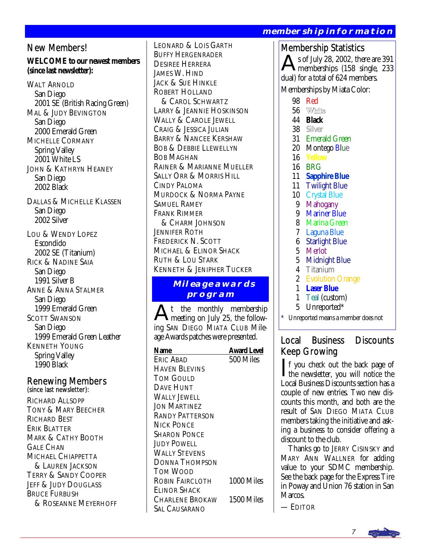New Members!

#### **WELCOME to our newest members (since last newsletter):**

WALT ARNOLD San Diego 2001 SE (British Racing Green) MAL & JUDY BEVINGTON San Diego 2000 Emerald Green MICHELLE CORMANY Spring Valley 2001 White LS JOHN & KATHRYN HEANEY San Diego 2002 Black

DALLAS & MICHELLE KLASSEN San Diego 2002 Silver

LOU & WENDY LOPEZ Escondido 2002 SE (Titanium) RICK & NADINE SAIA San Diego 1991 Silver B ANNE & ANNA STALMER San Diego 1999 Emerald Green SCOTT SWANSON San Diego 1999 Emerald Green Leather KENNETH YOUNG Spring Valley 1990 Black

## Renewing Members (since last newsletter):

RICHARD ALLSOPP TONY & MARY BEECHER RICHARD BEST ERIK BLATTER MARK & CATHY BOOTH GALE CHAN MICHAEL CHIAPPETTA & LAUREN JACKSON TERRY & SANDY COOPER JEFF & JUDY DOUGLASS BRUCE FURBUSH & ROSEANNE MEYERHOFF LEONARD & LOIS GARTH BUFFY HERGENRADER DESIREE HERRERA JAMES W. HIND JACK & SUE HINKLE ROBERT HOLLAND & CAROL SCHWARTZ LARRY & JEANNIE HOSKINSON WALLY & CAROLE JEWELL CRAIG & JESSICA JULIAN BARRY & NANCEE KERSHAW BOB & DEBBIE LLEWELLYN BOB MAGHAN RAINER & MARIANNE MUELLER SALLY ORR & MORRIS HILL CINDY PALOMA MURDOCK & NORMA PAYNE SAMUEL RAMEY FRANK RIMMER & CHARM JOHNSON JENNIFER ROTH FREDERICK N. SCOTT MICHAEL & ELINOR SHACK RUTH & LOU STARK KENNETH & JENIPHER TUCKER

#### **Mileage awards program**

At the monthly membership meeting on July 25, the following SAN DIEGO MIATA CLUB Mileage Awards patches were presented.

| Name                   | <b>Award Level</b> |
|------------------------|--------------------|
| Fric Arad              | 500 Miles          |
| HAVEN BLEVINS          |                    |
| TOM GOULD              |                    |
| <b>DAVE HUNT</b>       |                    |
| WALLY JEWELL           |                    |
| <b>JON MARTINEZ</b>    |                    |
| <b>RANDY PATTERSON</b> |                    |
| NICK PONCE             |                    |
| Sharon Ponce           |                    |
| <b>JUDY POWELL</b>     |                    |
| <b>WALLY STEVENS</b>   |                    |
| DONNA THOMPSON         |                    |
| TOM WOOD               |                    |
| ROBIN FAIRCLOTH        | 1000 Miles         |
| Elinor Shack           |                    |
| Charlene Brokaw        | 1500 Miles         |
| Sal Causarano          |                    |

#### **membership information**

Membership Statistics s of July 28, 2002, there are 391 memberships (158 single, 233 dual) for a total of 624 members. Memberships by Miata Color:

- 98 Red
- 56 White
- 44 **Black**
- 38 **Silver**
- 31 Emerald Green
- 20 Montego Blue
- 16 **Yellow**
- 16 BRG
- 11 **Sapphire Blue**
- 11 Twilight Blue
- 10 Crystal Blue
- 9 Mahogany<br>9 Mariner Bly
- **Mariner Blue**
- 8 Marina Green
- 7 Laguna Blue
- 6 Starlight Blue
- 5 Merlot
- 5 Midnight Blue
- 4 Titanium
- 2 Evolution Orange
- 1 **Laser Blue**
- 1 Teal (custom)
- 5 Unreported\*

Unreported means a member does not

### Local Business Discounts Keep Growing

If you check out the back page of<br>the newsletter, you will notice the<br>Local Buriners Discounts estion has a Local Business Discounts section has a couple of new entries. Two new discounts this month, and both are the result of SAN DIEGO MIATA CLUB members taking the initiative and asking a business to consider offering a discount to the club.

 Thanks go to JERRY CISINSKY and MARY ANN WALLNER for adding value to your SDMC membership. See the back page for the Express Tire in Poway and Union 76 station in San Marcos.

— EDITOR

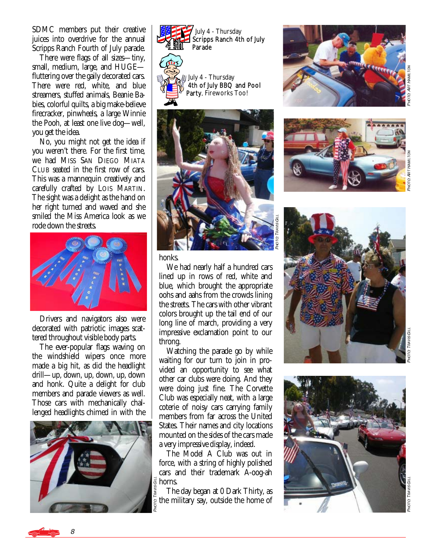SDMC members put their creative juices into overdrive for the annual Scripps Ranch Fourth of July parade.

 There were flags of all sizes—tiny, small, medium, large, and HUGE fluttering over the gaily decorated cars. There were red, white, and blue streamers, stuffed animals, Beanie Babies, colorful quilts, a big make-believe firecracker, pinwheels, a large Winnie the Pooh, at least one live dog—well, you get the idea.

 No, you might not get the idea if you weren't there. For the first time, we had MISS SAN DIEGO MIATA CLUB seated in the first row of cars. This was a mannequin creatively and carefully crafted by LOIS MARTIN. The sight was a delight as the hand on her right turned and waved and she smiled the Miss America look as we rode down the streets.



 Drivers and navigators also were decorated with patriotic images scattered throughout visible body parts.

 The ever-popular flags waving on the windshield wipers once more made a big hit, as did the headlight drill—up, down, up, down, up, down and honk. Quite a delight for club members and parade viewers as well. Those cars with mechanically challenged headlights chimed in with the















PHOT

**a TRAVIS GILL** 

honks.

 We had nearly half a hundred cars lined up in rows of red, white and blue, which brought the appropriate oohs and aahs from the crowds lining the streets. The cars with other vibrant colors brought up the tail end of our long line of march, providing a very impressive exclamation point to our throng.

 Watching the parade go by while waiting for our turn to join in provided an opportunity to see what other car clubs were doing. And they were doing just fine. The Corvette Club was especially neat, with a large coterie of noisy cars carrying family members from far across the United States. Their names and city locations mounted on the sides of the cars made a very impressive display, indeed.

 The Model A Club was out in force, with a string of highly polished cars and their trademark A-oog-ah horns.

 The day began at 0 Dark Thirty, as the military say, outside the home of



8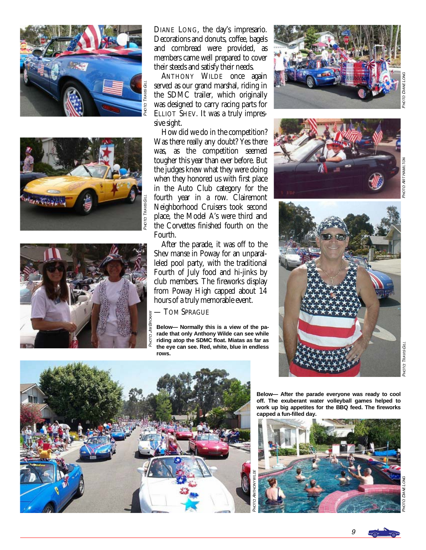





DIANE LONG, the day's impresario. Decorations and donuts, coffee, bagels and cornbread were provided, as members came well prepared to cover their steeds and satisfy their needs.

 ANTHONY WILDE once again served as our grand marshal, riding in the SDMC trailer, which originally was designed to carry racing parts for ELLIOT SHEV. It was a truly impressive sight.

 How did we do in the competition? Was there really any doubt? Yes there was, as the competition seemed tougher this year than ever before. But the judges knew what they were doing when they honored us with first place in the Auto Club category for the fourth year in a row. Clairemont Neighborhood Cruisers took second place, the Model A's were third and the Corvettes finished fourth on the Fourth.

 After the parade, it was off to the Shev manse in Poway for an unparalleled pool party, with the traditional Fourth of July food and hi-jinks by club members. The fireworks display from Poway High capped about 14 hours of a truly memorable event.

— TOM SPRAGUE

**Below— Normally this is a view of the parade that only Anthony Wilde can see while riding atop the SDMC float. Miatas as far as the eye can see. Red, white, blue in endless rows.** 







PHOT O: DIAME ELONG



**Below— After the parade everyone was ready to cool off. The exuberant water volleyball games helped to work up big appetites for the BBQ feed. The fireworks capped a fun-filled day.** 



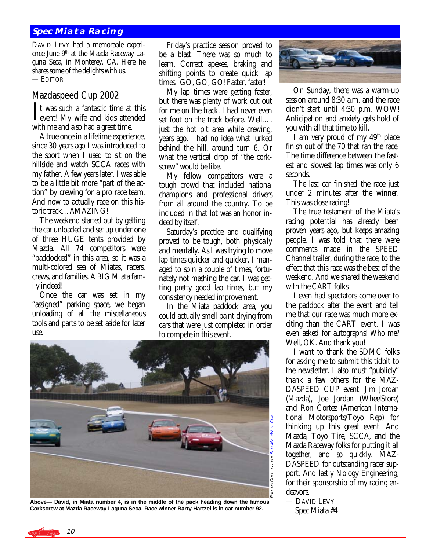#### **Spec Miata Racing**

DAVID LEVY had a memorable experience June 9<sup>th</sup> at the Mazda Raceway Laguna Seca, in Monterey, CA. Here he shares some of the delights with us. — EDITOR

#### Mazdaspeed Cup 2002

It was such a fantastic time at this<br>event! My wife and kids attended<br>with me and class had a great time. with me and also had a great time.

 A true once in a lifetime experience, since 30 years ago I was introduced to the sport when I used to sit on the hillside and watch SCCA races with my father. A few years later, I was able to be a little bit more "part of the action" by crewing for a pro race team. And now to actually race on this historic track…AMAZING!

 The weekend started out by getting the car unloaded and set up under one of three HUGE tents provided by Mazda. All 74 competitors were "paddocked" in this area, so it was a multi-colored sea of Miatas, racers, crews, and families. A BIG Miata family indeed!

 Once the car was set in my "assigned" parking space, we began unloading of all the miscellaneous tools and parts to be set aside for later use.

 Friday's practice session proved to be a blast. There was so much to learn. Correct apexes, braking and shifting points to create quick lap times. GO, GO, GO! Faster, faster!

 My lap times were getting faster, but there was plenty of work cut out for me on the track. I had never even set foot on the track before. Well…. just the hot pit area while crewing, years ago. I had no idea what lurked behind the hill, around turn 6. Or what the vertical drop of "the corkscrew" would be like.

 My fellow competitors were a tough crowd that included national champions and professional drivers from all around the country. To be included in that lot was an honor indeed by itself.

 Saturday's practice and qualifying proved to be tough, both physically and mentally. As I was trying to move lap times quicker and quicker, I managed to spin a couple of times, fortunately not mashing the car. I was getting pretty good lap times, but my consistency needed improvement.

 In the Miata paddock area, you could actually smell paint drying from cars that were just completed in order to compete in this event.



**Above— David, in Miata number 4, is in the middle of the pack heading down the famous Corkscrew at Mazda Raceway Laguna Seca. Race winner Barry Hartzel is in car number 92.** 



 On Sunday, there was a warm-up session around 8:30 a.m. and the race didn't start until 4:30 p.m. WOW! Anticipation and anxiety gets hold of you with all that time to kill.

 I am very proud of my 49th place finish out of the 70 that ran the race. The time difference between the fastest and slowest lap times was only 6 seconds.

 The last car finished the race just under 2 minutes after the winner. This was close racing!

 The true testament of the Miata's racing potential has already been proven years ago, but keeps amazing people. I was told that there were comments made in the SPEED Channel trailer, during the race, to the effect that this race was the best of the weekend. And we shared the weekend with the CART folks.

 I even had spectators come over to the paddock after the event and tell me that our race was much more exciting than the CART event. I was even asked for autographs! *Who me?*  Well, OK. And thank you!

 I want to thank the SDMC folks for asking me to submit this tidbit to the newsletter. I also must "publicly" thank a few others for the MAZ-DASPEED CUP event. Jim Jordan (Mazda), Joe Jordan (WheelStore) and Ron Cortez (American International Motorsports/Toyo Rep) for thinking up this great event. And Mazda, Toyo Tire, SCCA, and the Mazda Raceway folks for putting it all together, and so quickly. MAZ-DASPEED for outstanding racer support. And lastly Nology Engineering, for their sponsorship of my racing endeavors.

— DAVID LEVY Spec Miata #4

10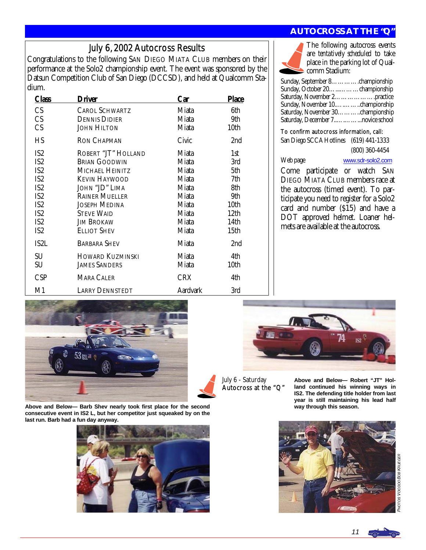#### July 6, 2002 Autocross Results

Congratulations to the following SAN DIEGO MIATA CLUB members on their performance at the Solo2 championship event. The event was sponsored by the Datsun Competition Club of San Diego (DCCSD), and held at Qualcomm Stadium.

| Class           | Driver                  | Car             | <b>Place</b>     |
|-----------------|-------------------------|-----------------|------------------|
| CS              | <b>CAROL SCHWARTZ</b>   | Miata           | 6th              |
| <b>CS</b>       | <b>DENNIS DIDIER</b>    | Miata           | 9th              |
| CS              | <b>JOHN HILTON</b>      | Miata           | 10th             |
| HS              | <b>RON CHAPMAN</b>      | Civic           | 2nd              |
| IS <sub>2</sub> | ROBERT "JT" HOLLAND     | Miata           | 1st              |
| IS <sub>2</sub> | <b>BRIAN GOODWIN</b>    | Miata           | 3rd              |
| IS <sub>2</sub> | MICHAEL HEINITZ         | Miata           | 5th              |
| IS <sub>2</sub> | <b>KEVIN HAYWOOD</b>    | Miata           | 7th              |
| IS <sub>2</sub> | JOHN "JD" LIMA          | Miata           | 8th              |
| IS <sub>2</sub> | <b>RAINER MUELLER</b>   | Miata           | 9th              |
| IS <sub>2</sub> | <b>JOSEPH MEDINA</b>    | Miata           | 10th             |
| IS <sub>2</sub> | <b>STEVE WAID</b>       | Miata           | 12 <sub>th</sub> |
| IS <sub>2</sub> | Jim Brokaw              | Miata           | 14th             |
| IS <sub>2</sub> | <b>ELLIOT SHEV</b>      | Miata           | 15th             |
| IS2L            | <b>BARBARA SHEV</b>     | Miata           | 2nd              |
| SU              | <b>HOWARD KUZMINSKI</b> | Miata           | 4th              |
| SU              | <b>JAMES SANDERS</b>    | Miata           | 10th             |
| <b>CSP</b>      | <b>MARA CALER</b>       | <b>CRX</b>      | 4th              |
| M1              | <b>LARRY DENNSTEDT</b>  | <b>Aardvark</b> | 3rd              |

#### **AUTOCROSS AT THE "Q"**



The following autocross events are *tentatively scheduled* to take place in the parking lot of Qualcomm Stadium:

| Sunday, September 8. championship |  |
|-----------------------------------|--|
| Sunday, October 20. championship  |  |
| Saturday, November 2practice      |  |
|                                   |  |
| Saturday, November 30championship |  |
|                                   |  |

#### To confirm autocross information, call:

San Diego SCCA Hotlines (619) 441-1333 (800) 360-4454

Web page [www.sdr-solo2.com](http://www.sdr-solo2.com)

Come participate or watch SAN DIEGO MIATA CLUB members race at the autocross (timed event). To participate you need to register for a Solo2 card and number (\$15) and have a DOT approved helmet. Loaner helmets are available at the autocross.



**Above and Below— Barb Shev nearly took first place for the second consecutive event in IS2 L, but her competitor just squeaked by on the last run. Barb had a fun day anyway.** 





July 6 - Saturday Autocross at the "Q"

**Above and Below— Robert "JT" Holland continued his winning ways in IS2. The defending title holder from last year is still maintaining his lead half way through this season.** 



PHOTOS VOODOOBOB KRUEGER os VoopooBoa Kauegea

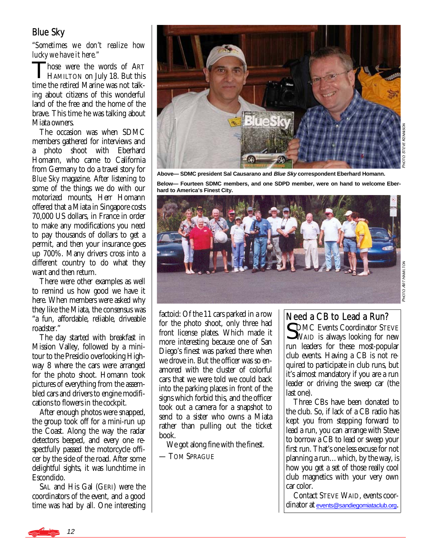#### Blue Sky

*"Sometimes we don't realize how lucky we have it here."* 

Those were the words of ART HAMILTON on July 18. But this time the retired Marine was not talking about citizens of this wonderful land of the free and the home of the brave. This time he was talking about Miata owners.

 The occasion was when SDMC members gathered for interviews and a photo shoot with Eberhard Homann, who came to California from Germany to do a travel story for *Blue Sky* magazine. After listening to some of the things we do with our motorized mounts, Herr Homann offered that a Miata in Singapore costs 70,000 US dollars, in France in order to make any modifications you need to pay thousands of dollars to get a permit, and then your insurance goes up 700%. Many drivers cross into a different country to do what they want and then return.

 There were other examples as well to remind us how good we have it here. When members were asked why they like the Miata, the consensus was "a fun, affordable, reliable, driveable roadster."

 The day started with breakfast in Mission Valley, followed by a minitour to the Presidio overlooking Highway 8 where the cars were arranged for the photo shoot. Homann took pictures of everything from the assembled cars and drivers to engine modifications to flowers in the cockpit.

 After enough photos were snapped, the group took off for a mini-run up the Coast. Along the way the radar detectors beeped, and every one respectfully passed the motorcycle officer by the side of the road. After some delightful sights, it was lunchtime in Escondido.

 SAL and His Gal (GERI) were the coordinators of the event, and a good time was had by all. One interesting



**Above— SDMC president Sal Causarano and Blue Sky correspondent Eberhard Homann.** 

**Below— Fourteen SDMC members, and one SDPD member, were on hand to welcome Eberhard to America's Finest City.** 



factoid: Of the 11 cars parked in a row for the photo shoot, only three had front license plates. Which made it more interesting because one of San Diego's finest was parked there when we drove in. But the officer was so enamored with the cluster of colorful cars that we were told we could back into the parking places in front of the signs which forbid this, and the officer took out a camera for a snapshot to send to a sister who owns a Miata rather than pulling out the ticket book.

We got along fine with the finest.

— TOM SPRAGUE

#### Need a CB to Lead a Run?

CDMC Events Coordinator STEVE WAID is always looking for new run leaders for these most-popular club events. Having a CB is not required to participate in club runs, but it's almost mandatory if you are a run leader or driving the sweep car (the last one).

 Three CBs have been donated to the club. So, if lack of a CB radio has kept you from stepping forward to lead a run, you can arrange with Steve to borrow a CB to lead or sweep your first run. That's one less excuse for not planning a run…which, by the way, is how you get a set of those really cool club magnetics with your very own car color.

 Contact STEVE WAID, events coordinator at [events@sandiegomiataclub.org](mailto:events@sandiegomiataclub.org).

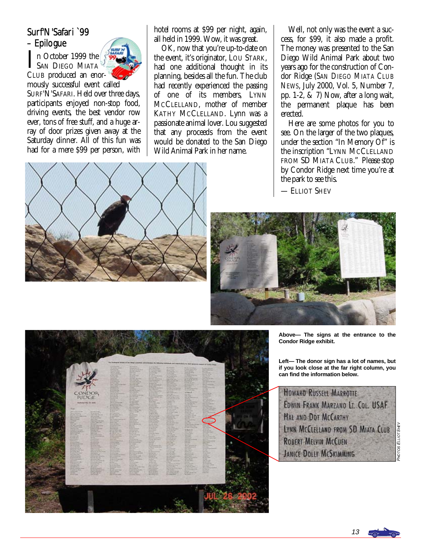## Surf'N'Safari `99 – Epilogue

In October 1999 the SAN DIEGO MIATA CLUB produced an enor-



mously successful event called SURF'N'SAFARI. Held over three days, participants enjoyed non-stop food, driving events, the best vendor row ever, tons of free stuff, and a huge array of door prizes given away at the Saturday dinner. All of this fun was had for a mere \$99 per person, with hotel rooms at \$99 per night, again, all held in 1999. Wow, it was great.

 OK, now that you're up-to-date on the event, it's originator, LOU STARK, had one additional thought in its planning, besides all the fun. The club had recently experienced the passing of one of its members, LYNN MCCLELLAND, mother of member KATHY MCCLELLAND. Lynn was a passionate animal lover. Lou suggested that any proceeds from the event would be donated to the San Diego Wild Animal Park in her name.

 Well, not only was the event a success, for \$99, it also made a profit. The money was presented to the San Diego Wild Animal Park about two years ago for the construction of Condor Ridge (*SAN DIEGO MIATA CLUB NEWS*, July 2000, Vol. 5, Number 7, pp. 1-2, & 7) Now, after a long wait, the permanent plaque has been erected.

 Here are some photos for you to see. On the larger of the two plaques, under the section "In Memory Of" is the inscription "LYNN MCCLELLAND FROM SD MIATA CLUB." Please stop by Condor Ridge next time you're at the park to see this.

— ELLIOT SHEV





**Above— The signs at the entrance to the Condor Ridge exhibit.** 

**Left— The donor sign has a lot of names, but if you look close at the far right column, you can find the information below.** 



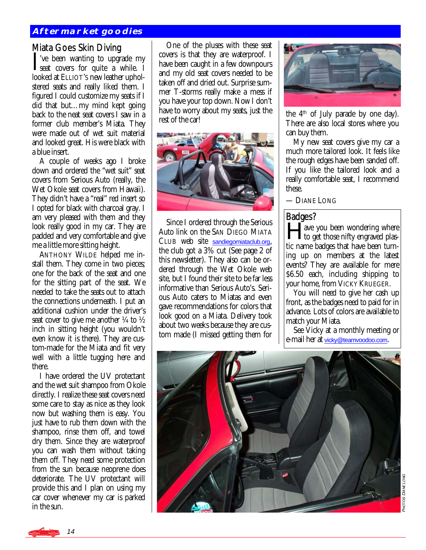#### **Aftermarket goodies**

Miata Goes Skin Diving<br> $\mathbf{T}'$  ve been wanting to upgrade my I've been wanting to upgrade my<br>seat covers for quite a while. I looked at ELLIOT'S new leather upholstered seats and really liked them. I figured I could customize my seats if I did that but…my mind kept going back to the neat seat covers I saw in a former club member's Miata. They were made out of wet suit material and looked great. His were black with a blue insert.

 A couple of weeks ago I broke down and ordered the "wet suit" seat covers from Serious Auto (really, the Wet Okole seat covers from Hawaii). They didn't have a "real" red insert so I opted for black with charcoal gray. I am very pleased with them and they look really good in my car. They are padded and very comfortable and give me a little more sitting height.

 ANTHONY WILDE helped me install them. They come in two pieces; one for the back of the seat and one for the sitting part of the seat. We needed to take the seats out to attach the connections underneath. I put an additional cushion under the driver's seat cover to give me another  $\frac{1}{4}$  to  $\frac{1}{2}$ inch in sitting height (you wouldn't even know it is there). They are custom-made for the Miata and fit very well with a little tugging here and there.

 I have ordered the UV protectant and the wet suit shampoo from Okole directly. I realize these seat covers need some care to stay as nice as they look now but washing them is easy. You just have to rub them down with the shampoo, rinse them off, and towel dry them. Since they are waterproof you can wash them without taking them off. They need some protection from the sun because neoprene does deteriorate. The UV protectant will provide this and I plan on using my car cover whenever my car is parked in the sun.

 One of the pluses with these seat covers is that they are waterproof. I have been caught in a few downpours and my old seat covers needed to be taken off and dried out. Surprise summer T-storms really make a mess if you have your top down. Now I don't have to worry about my seats, just the rest of the car!



 Since I ordered through the Serious Auto link on the SAN DIEGO MIATA CLUB web site [sandiegomiataclub.org](http://www.sandiegomiataclub.org), the club got a 3% cut (See page 2 of this newsletter). They also can be ordered through the Wet Okole web site, but I found their site to be far less informative than Serious Auto's. Serious Auto caters to Miatas and even gave recommendations for colors that look good on a Miata. Delivery took about two weeks because they are custom made (I missed getting them for



the  $4<sup>th</sup>$  of July parade by one day). There are also local stores where you can buy them.

 My new seat covers give my car a much more tailored look. It feels like the rough edges have been sanded off. If you like the tailored look and a really comfortable seat, I recommend these.

— DIANE LONG

#### Badges?

**Have you been wondering where**<br> **to get those nifty engraved plas**tic name badges that have been turning up on members at the latest events? They are available for mere \$6.50 each, including shipping to your home, from VICKY KRUEGER.

 You will need to give her cash up front, as the badges need to paid for in advance. Lots of colors are available to match your Miata.

 See Vicky at a monthly meeting or e-mail her at [vicky@teamvoodoo.com](mailto:vicky@teamvoodoo.com).



OTOS DIANE LONG OS DIANE LONG

14